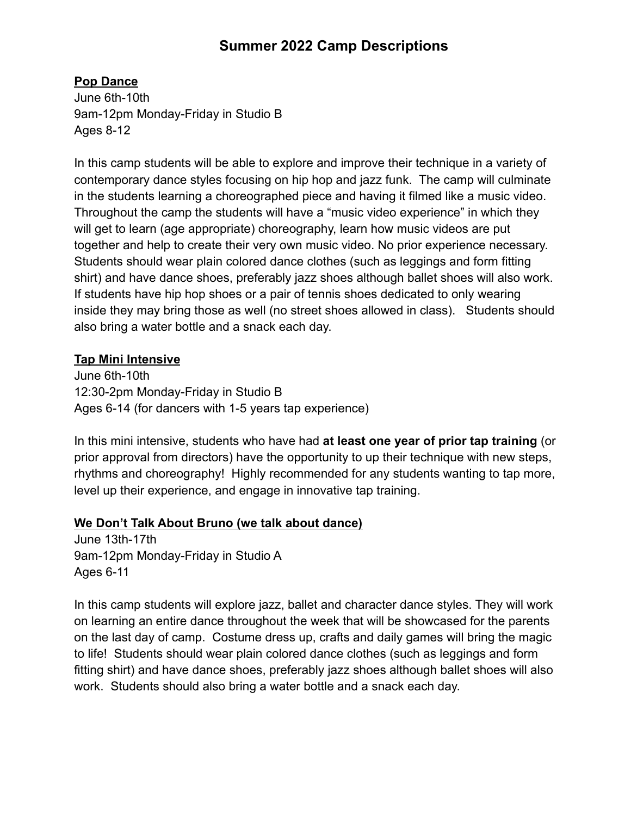# **Summer 2022 Camp Descriptions**

## **Pop Dance**

June 6th-10th 9am-12pm Monday-Friday in Studio B Ages 8-12

In this camp students will be able to explore and improve their technique in a variety of contemporary dance styles focusing on hip hop and jazz funk. The camp will culminate in the students learning a choreographed piece and having it filmed like a music video. Throughout the camp the students will have a "music video experience" in which they will get to learn (age appropriate) choreography, learn how music videos are put together and help to create their very own music video. No prior experience necessary. Students should wear plain colored dance clothes (such as leggings and form fitting shirt) and have dance shoes, preferably jazz shoes although ballet shoes will also work. If students have hip hop shoes or a pair of tennis shoes dedicated to only wearing inside they may bring those as well (no street shoes allowed in class). Students should also bring a water bottle and a snack each day.

#### **Tap Mini Intensive**

June 6th-10th 12:30-2pm Monday-Friday in Studio B Ages 6-14 (for dancers with 1-5 years tap experience)

In this mini intensive, students who have had **at least one year of prior tap training** (or prior approval from directors) have the opportunity to up their technique with new steps, rhythms and choreography! Highly recommended for any students wanting to tap more, level up their experience, and engage in innovative tap training.

#### **We Don't Talk About Bruno (we talk about dance)**

June 13th-17th 9am-12pm Monday-Friday in Studio A Ages 6-11

In this camp students will explore jazz, ballet and character dance styles. They will work on learning an entire dance throughout the week that will be showcased for the parents on the last day of camp. Costume dress up, crafts and daily games will bring the magic to life! Students should wear plain colored dance clothes (such as leggings and form fitting shirt) and have dance shoes, preferably jazz shoes although ballet shoes will also work. Students should also bring a water bottle and a snack each day.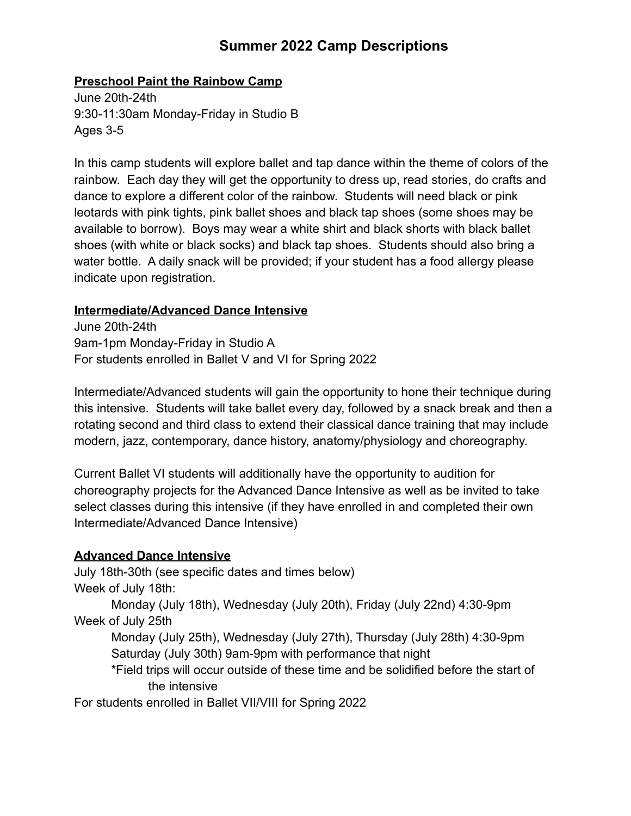# **Summer 2022 Camp Descriptions**

### **Preschool Paint the Rainbow Camp**

June 20th-24th 9:30-11:30am Monday-Friday in Studio B Ages 3-5

In this camp students will explore ballet and tap dance within the theme of colors of the rainbow. Each day they will get the opportunity to dress up, read stories, do crafts and dance to explore a different color of the rainbow. Students will need black or pink leotards with pink tights, pink ballet shoes and black tap shoes (some shoes may be available to borrow). Boys may wear a white shirt and black shorts with black ballet shoes (with white or black socks) and black tap shoes. Students should also bring a water bottle. A daily snack will be provided; if your student has a food allergy please indicate upon registration.

#### **Intermediate/Advanced Dance Intensive**

June 20th-24th 9am-1pm Monday-Friday in Studio A For students enrolled in Ballet V and VI for Spring 2022

Intermediate/Advanced students will gain the opportunity to hone their technique during this intensive. Students will take ballet every day, followed by a snack break and then a rotating second and third class to extend their classical dance training that may include modern, jazz, contemporary, dance history, anatomy/physiology and choreography.

Current Ballet VI students will additionally have the opportunity to audition for choreography projects for the Advanced Dance Intensive as well as be invited to take select classes during this intensive (if they have enrolled in and completed their own Intermediate/Advanced Dance Intensive)

## **Advanced Dance Intensive**

July 18th-30th (see specific dates and times below) Week of July 18th:

Monday (July 18th), Wednesday (July 20th), Friday (July 22nd) 4:30-9pm Week of July 25th

Monday (July 25th), Wednesday (July 27th), Thursday (July 28th) 4:30-9pm Saturday (July 30th) 9am-9pm with performance that night

\*Field trips will occur outside of these time and be solidified before the start of the intensive

For students enrolled in Ballet VII/VIII for Spring 2022